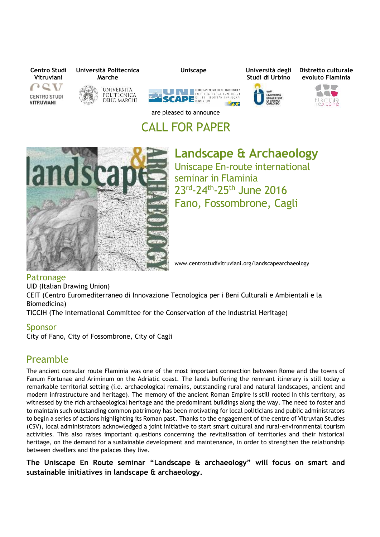

# CALL FOR PAPER



**Landscape & Archaeology** Uniscape En-route international seminar in Flaminia 23rd-24<sup>th</sup>-25<sup>th</sup> June 2016 Fano, Fossombrone, Cagli

www.centrostudivitruviani.org/landscapearchaeology

### Patronage

UID (Italian Drawing Union)

CEIT (Centro Euromediterraneo di Innovazione Tecnologica per i Beni Culturali e Ambientali e la Biomedicina)

TICCIH (The International Committee for the Conservation of the Industrial Heritage)

### Sponsor

City of Fano, City of Fossombrone, City of Cagli

## Preamble

The ancient consular route Flaminia was one of the most important connection between Rome and the towns of Fanum Fortunae and Ariminum on the Adriatic coast. The lands buffering the remnant itinerary is still today a remarkable territorial setting (i.e. archaeological remains, outstanding rural and natural landscapes, ancient and modern infrastructure and heritage). The memory of the ancient Roman Empire is still rooted in this territory, as witnessed by the rich archaeological heritage and the predominant buildings along the way. The need to foster and to maintain such outstanding common patrimony has been motivating for local politicians and public administrators to begin a series of actions highlighting its Roman past. Thanks to the engagement of the centre of Vitruvian Studies (CSV), local administrators acknowledged a joint initiative to start smart cultural and rural-environmental tourism activities. This also raises important questions concerning the revitalisation of territories and their historical heritage, on the demand for a sustainable development and maintenance, in order to strengthen the relationship between dwellers and the palaces they live.

**The Uniscape En Route seminar "Landscape & archaeology" will focus on smart and sustainable initiatives in landscape & archaeology.**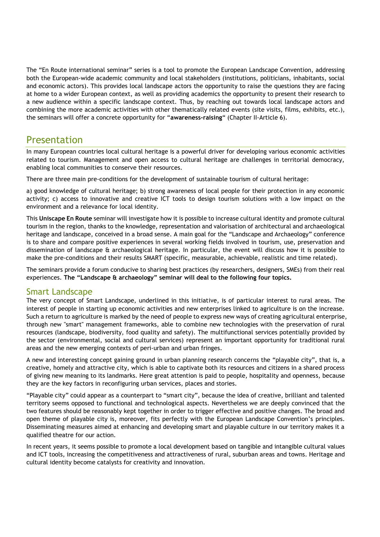The "En Route international seminar" series is a tool to promote the European Landscape Convention, addressing both the European-wide academic community and local stakeholders (institutions, politicians, inhabitants, social and economic actors). This provides local landscape actors the opportunity to raise the questions they are facing at home to a wider European context, as well as providing academics the opportunity to present their research to a new audience within a specific landscape context. Thus, by reaching out towards local landscape actors and combining the more academic activities with other thematically related events (site visits, films, exhibits, etc.), the seminars will offer a concrete opportunity for "**awareness-raising**" (Chapter II-Article 6).

# Presentation

In many European countries local cultural heritage is a powerful driver for developing various economic activities related to tourism. Management and open access to cultural heritage are challenges in territorial democracy, enabling local communities to conserve their resources.

There are three main pre-conditions for the development of sustainable tourism of cultural heritage:

a) good knowledge of cultural heritage; b) strong awareness of local people for their protection in any economic activity; c) access to innovative and creative ICT tools to design tourism solutions with a low impact on the environment and a relevance for local identity.

This **Uniscape En Route** seminar will investigate how it is possible to increase cultural identity and promote cultural tourism in the region, thanks to the knowledge, representation and valorisation of architectural and archaeological heritage and landscape, conceived in a broad sense. A main goal for the "Landscape and Archaeology" conference is to share and compare positive experiences in several working fields involved in tourism, use, preservation and dissemination of landscape & archaeological heritage. In particular, the event will discuss how it is possible to make the pre-conditions and their results SMART (specific, measurable, achievable, realistic and time related).

The seminars provide a forum conducive to sharing best practices (by researchers, designers, SMEs) from their real experiences. **The "Landscape & archaeology" seminar will deal to the following four topics.**

### Smart Landscape

The very concept of Smart Landscape, underlined in this initiative, is of particular interest to rural areas. The interest of people in starting up economic activities and new enterprises linked to agriculture is on the increase. Such a return to agriculture is marked by the need of people to express new ways of creating agricultural enterprise, through new "smart" management frameworks, able to combine new technologies with the preservation of rural resources (landscape, biodiversity, food quality and safety). The multifunctional services potentially provided by the sector (environmental, social and cultural services) represent an important opportunity for traditional rural areas and the new emerging contexts of peri-urban and urban fringes.

A new and interesting concept gaining ground in urban planning research concerns the "playable city", that is, a creative, homely and attractive city, which is able to captivate both its resources and citizens in a shared process of giving new meaning to its landmarks. Here great attention is paid to people, hospitality and openness, because they are the key factors in reconfiguring urban services, places and stories.

"Playable city" could appear as a counterpart to "smart city", because the idea of creative, brilliant and talented territory seems opposed to functional and technological aspects. Nevertheless we are deeply convinced that the two features should be reasonably kept together in order to trigger effective and positive changes. The broad and open theme of playable city is, moreover, fits perfectly with the European Landscape Convention's principles. Disseminating measures aimed at enhancing and developing smart and playable culture in our territory makes it a qualified theatre for our action.

In recent years, it seems possible to promote a local development based on tangible and intangible cultural values and ICT tools, increasing the competitiveness and attractiveness of rural, suburban areas and towns. Heritage and cultural identity become catalysts for creativity and innovation.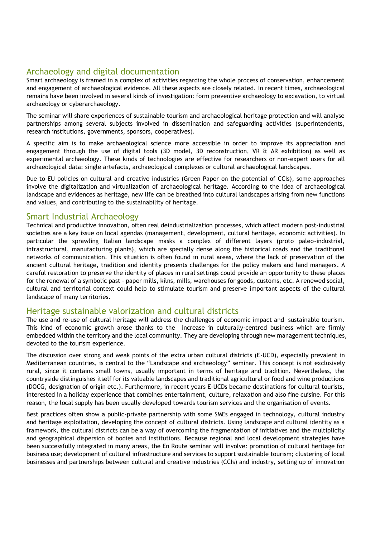### Archaeology and digital documentation

Smart archaeology is framed in a complex of activities regarding the whole process of conservation, enhancement and engagement of archaeological evidence. All these aspects are closely related. In recent times, archaeological remains have been involved in several kinds of investigation: form preventive archaeology to excavation, to virtual archaeology or cyberarchaeology.

The seminar will share experiences of sustainable tourism and archaeological heritage protection and will analyse partnerships among several subjects involved in dissemination and safeguarding activities (superintendents, research institutions, governments, sponsors, cooperatives).

A specific aim is to make archaeological science more accessible in order to improve its appreciation and engagement through the use of digital tools (3D model, 3D reconstruction, VR & AR exhibition) as well as experimental archaeology. These kinds of technologies are effective for researchers or non-expert users for all archaeological data: single artefacts, archaeological complexes or cultural archaeological landscapes.

Due to EU policies on cultural and creative industries (Green Paper on the potential of CCIs), some approaches involve the digitalization and virtualization of archaeological heritage. According to the idea of archaeological landscape and evidences as heritage, new life can be breathed into cultural landscapes arising from new functions and values, and contributing to the sustainability of heritage.

### Smart Industrial Archaeology

Technical and productive innovation, often real deindustrialization processes, which affect modern post-industrial societies are a key issue on local agendas (management, development, cultural heritage, economic activities). In particular the sprawling Italian landscape masks a complex of different layers (proto paleo-industrial, infrastructural, manufacturing plants), which are specially dense along the historical roads and the traditional networks of communication. This situation is often found in rural areas, where the lack of preservation of the ancient cultural heritage, tradition and identity presents challenges for the policy makers and land managers. A careful restoration to preserve the identity of places in rural settings could provide an opportunity to these places for the renewal of a symbolic past - paper mills, kilns, mills, warehouses for goods, customs, etc. A renewed social, cultural and territorial context could help to stimulate tourism and preserve important aspects of the cultural landscape of many territories.

### Heritage sustainable valorization and cultural districts

The use and re-use of cultural heritage will address the challenges of economic impact and sustainable tourism. This kind of economic growth arose thanks to the increase in culturally-centred business which are firmly embedded within the territory and the local community. They are developing through new management techniques, devoted to the tourism experience.

The discussion over strong and weak points of the extra urban cultural districts (E-UCD), especially prevalent in Mediterranean countries, is central to the "Landscape and archaeology" seminar. This concept is not exclusively rural, since it contains small towns, usually important in terms of heritage and tradition. Nevertheless, the countryside distinguishes itself for its valuable landscapes and traditional agricultural or food and wine productions (DOCG, designation of origin etc.). Furthermore, in recent years E-UCDs became destinations for cultural tourists, interested in a holiday experience that combines entertainment, culture, relaxation and also fine cuisine. For this reason, the local supply has been usually developed towards tourism services and the organisation of events.

Best practices often show a public-private partnership with some SMEs engaged in technology, cultural industry and heritage exploitation, developing the concept of cultural districts. Using landscape and cultural identity as a framework, the cultural districts can be a way of overcoming the fragmentation of initiatives and the multiplicity and geographical dispersion of bodies and institutions. Because regional and local development strategies have been successfully integrated in many areas, the En Route seminar will involve: promotion of cultural heritage for business use; development of cultural infrastructure and services to support sustainable tourism; clustering of local businesses and partnerships between cultural and creative industries (CCIs) and industry, setting up of innovation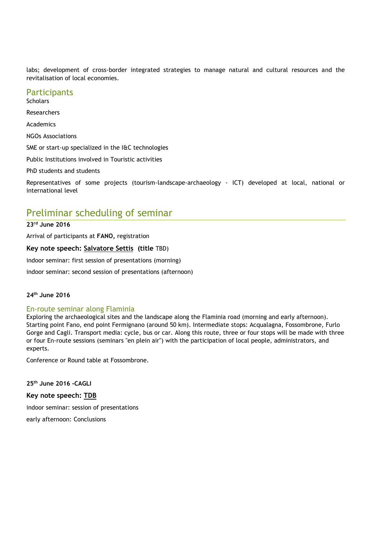labs; development of cross-border integrated strategies to manage natural and cultural resources and the revitalisation of local economies.

#### **Participants**

**Scholars** Researchers Academics NGOs Associations SME or start-up specialized in the I&C technologies Public Institutions involved in Touristic activities PhD students and students Representatives of some projects (tourism-landscape-archaeology - ICT) developed at local, national or international level

# Preliminar scheduling of seminar

**23rd June 2016**

Arrival of participants at **FANO,** registration

**Key note speech: Salvatore Settis (title** TBD)

indoor seminar: first session of presentations (morning)

indoor seminar: second session of presentations (afternoon)

#### **24th June 2016**

#### En-route seminar along Flaminia

Exploring the archaeological sites and the landscape along the Flaminia road (morning and early afternoon). Starting point Fano, end point Fermignano (around 50 km). Intermediate stops: Acqualagna, Fossombrone, Furlo Gorge and Cagli. Transport media: cycle, bus or car. Along this route, three or four stops will be made with three or four En-route sessions (seminars "en plein air") with the participation of local people, administrators, and experts.

Conference or Round table at Fossombrone.

**25th June 2016 -CAGLI Key note speech: TDB** indoor seminar: session of presentations early afternoon: Conclusions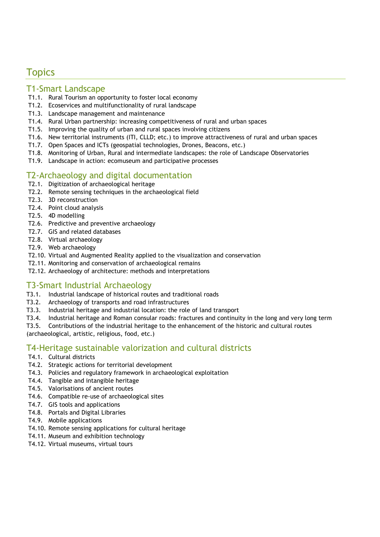# **Topics**

### T1-Smart Landscape

- T1.1. Rural Tourism an opportunity to foster local economy
- T1.2. Ecoservices and multifunctionality of rural landscape
- T1.3. Landscape management and maintenance
- T1.4. Rural Urban partnership: increasing competitiveness of rural and urban spaces
- T1.5. Improving the quality of urban and rural spaces involving citizens
- T1.6. New territorial instruments (ITI, CLLD; etc.) to improve attractiveness of rural and urban spaces
- T1.7. Open Spaces and ICTs (geospatial technologies, Drones, Beacons, etc.)
- T1.8. Monitoring of Urban, Rural and intermediate landscapes: the role of Landscape Observatories
- T1.9. Landscape in action: ecomuseum and participative processes

### T2-Archaeology and digital documentation

- T2.1. Digitization of archaeological heritage
- T2.2. Remote sensing techniques in the archaeological field
- T2.3. 3D reconstruction
- T2.4. Point cloud analysis
- T2.5. 4D modelling
- T2.6. Predictive and preventive archaeology
- T2.7. GIS and related databases
- T2.8. Virtual archaeology
- T2.9. Web archaeology
- T2.10. Virtual and Augmented Reality applied to the visualization and conservation
- T2.11. Monitoring and conservation of archaeological remains
- T2.12. Archaeology of architecture: methods and interpretations

### T3-Smart Industrial Archaeology

- T3.1. Industrial landscape of historical routes and traditional roads
- T3.2. Archaeology of transports and road infrastructures
- T3.3. Industrial heritage and industrial location: the role of land transport
- T3.4. Industrial heritage and Roman consular roads: fractures and continuity in the long and very long term
- T3.5. Contributions of the industrial heritage to the enhancement of the historic and cultural routes

(archaeological, artistic, religious, food, etc.)

### T4-Heritage sustainable valorization and cultural districts

- T4.1. Cultural districts
- T4.2. Strategic actions for territorial development
- T4.3. Policies and regulatory framework in archaeological exploitation
- T4.4. Tangible and intangible heritage
- T4.5. Valorisations of ancient routes
- T4.6. Compatible re-use of archaeological sites
- T4.7. GIS tools and applications
- T4.8. Portals and Digital Libraries
- T4.9. Mobile applications
- T4.10. Remote sensing applications for cultural heritage
- T4.11. Museum and exhibition technology
- T4.12. Virtual museums, virtual tours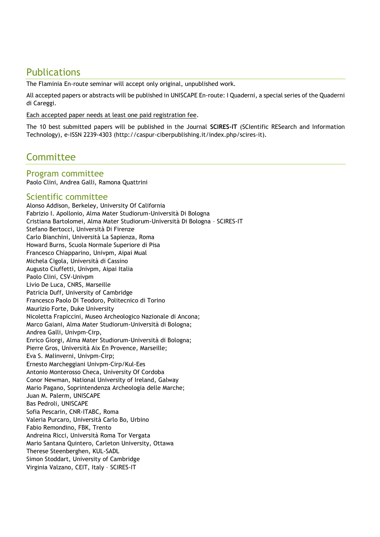# **Publications**

The Flaminia En-route seminar will accept only original, unpublished work.

All accepted papers or abstracts will be published in UNISCAPE En-route: I Quaderni, a special series of the Quaderni di Careggi.

Each accepted paper needs at least one paid registration fee.

The 10 best submitted papers will be published in the Journal **SCIRES-IT** (SCIentific RESearch and Information Technology), e-ISSN 2239-4303 (http://caspur-ciberpublishing.it/index.php/scires-it).

# **Committee**

### Program committee

Paolo Clini, Andrea Galli, Ramona Quattrini

### Scientific committee

Alonso Addison, Berkeley, University Of California Fabrizio I. Apollonio, Alma Mater Studiorum-Università Di Bologna Cristiana Bartolomei, Alma Mater Studiorum-Università Di Bologna – SCIRES-IT Stefano Bertocci, Università Di Firenze Carlo Bianchini, Università La Sapienza, Roma Howard Burns, Scuola Normale Superiore di Pisa Francesco Chiapparino, Univpm, Aipai Mual Michela Cigola, Università di Cassino Augusto Ciuffetti, Univpm, Aipai Italia Paolo Clini, CSV-Univpm Livio De Luca, CNRS, Marseille Patricia Duff, University of Cambridge Francesco Paolo Di Teodoro, Politecnico di Torino Maurizio Forte, Duke University Nicoletta Frapiccini, Museo Archeologico Nazionale di Ancona; Marco Gaiani, Alma Mater Studiorum-Università di Bologna; Andrea Galli, Univpm-Cirp, Enrico Giorgi, Alma Mater Studiorum-Università di Bologna; Pierre Gros, Università Aix En Provence, Marseille; Eva S. Malinverni, Univpm-Cirp; Ernesto Marcheggiani Univpm-Cirp/Kul-Ees Antonio Monterosso Checa, University Of Cordoba Conor Newman, National University of Ireland, Galway Mario Pagano, Soprintendenza Archeologia delle Marche; Juan M. Palerm, UNISCAPE Bas Pedroli, UNISCAPE Sofia Pescarin, CNR-ITABC, Roma Valeria Purcaro, Università Carlo Bo, Urbino Fabio Remondino, FBK, Trento Andreina Ricci, Università Roma Tor Vergata Mario Santana Quintero, Carleton University, Ottawa Therese Steenberghen, KUL-SADL Simon Stoddart, University of Cambridge Virginia Valzano, CEIT, Italy – SCIRES-IT